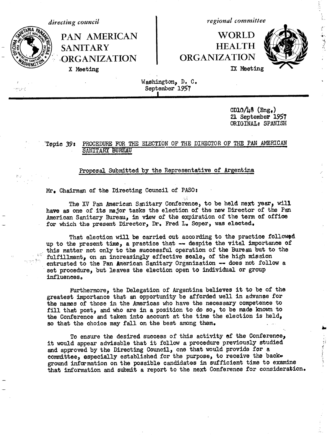R۱۸

SANITARY HEALTH<br>ORGANIZATION ORGANIZATION **ORGANIZATION** X Meeting **IX** Meeting

*directing council regional committee*

**PAN AMERICAN NORLD** 



Washington, D. C. September 1957 **I**

> CD10 $\ln 8$  (Eng.) 21 September 1957 ORIGINALt SPANISH

## Topic 39: PROCEDURE FOR THE ELECTION OF THE DIRECTOR OF THE PAN AMERICAN SANITARY BUREAU

## Proposal Submitted by the Representative of Argentina

Mr. Chairman of the Directing Council of PASO:

The XV Pan American Sanitary Conference, to be held next year, will have as one of its major tasks the election of the new Director of the Pan American Sanitary Bureau, in view of the expiration of the term of office for which the present Director, Dr. Fred L. Soper, was elected.

That election will be carried out according to the practice followed up to the present time, a practice that -- despite the vital importance of this matter not only to the successful operation of the Bureau but to the fulfillment, on an increasingly effective scale, of the high mission entrusted to the Pan American Sanitary Organization -- does not follow a set procedure, but leaves the election open to individual or group influences,

Furthermore, the Delegation of Argentina believes it to be of the greatest importance that an opportunity be afforded well in advanpe for the names of those in the Americas who have the necessary competence to fill that post, and who are in a position to do so, to be made known to the Conference and taken into account at the time the election is held, so that the choice may fall on the best among them.

To ensure the desired success of this activity of the Conference, it would appear advisable that it follow a procedure previously studied and approved by the Directing Council, one that would provide for a committee, especially established for the purpose, to receive the back. ground information on the possible candidates in sufficient time to examine that information and submit a report to the next Conference for consideration.